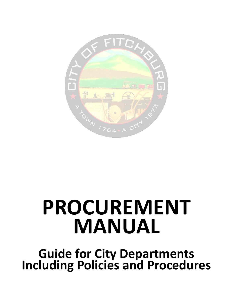

# **PROCUREMENT MANUAL**

**Guide for City Departments Including Policies and Procedures**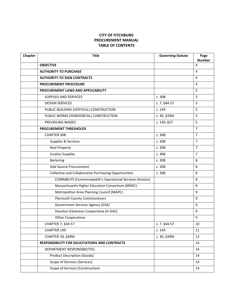# **CITY OF FITCHBURG PROCUREMENT MANUAL TABLE OF CONTENTS**

| Chapter | <b>Title</b>                                                   | <b>Governing Statute</b> | Page<br><b>Number</b> |
|---------|----------------------------------------------------------------|--------------------------|-----------------------|
|         | <b>OBJECTIVE</b>                                               |                          | 4                     |
|         | <b>AUTHORITY TO PURCHASE</b>                                   |                          | 4                     |
|         | <b>AUTHORITY TO SIGN CONTRACTS</b>                             |                          | 4                     |
|         | PROCUREMENT PROCEDURE                                          |                          | 4                     |
|         | PROCUREMENT LAWS AND APPLICABILITY                             |                          | 5                     |
|         | <b>SUPPLIES AND SERVICES</b>                                   | c. 30B                   | 5                     |
|         | <b>DESIGN SERVICES</b>                                         | c. 7, §44-57             | 5                     |
|         | PUBLIC BUILDING (VERTICAL) CONSTRUCTION                        | c. 149                   | 5                     |
|         | PUBLIC WORKS (HORIZONTAL) CONSTRUCTION                         | c. 30, §39M              | 5                     |
|         | PREVAILING WAGES                                               | c. 149, §27              | 5                     |
|         | PROCUREMENT THRESHOLDS                                         |                          | $\overline{7}$        |
|         | <b>CHAPTER 30B</b>                                             | c. 30B                   | $\overline{7}$        |
|         | Supplies & Services                                            | c.30B                    | $\overline{7}$        |
|         | <b>Real Property</b>                                           | c. 30B                   | $\overline{7}$        |
|         | <b>Surplus Supplies</b>                                        | c. 30B                   | $\overline{7}$        |
|         | <b>Bartering</b>                                               | c. 30B                   | 8                     |
|         | Sole Source Procurement                                        | c. 30B                   | 8                     |
|         | Collective and Collaborative Purchasing Opportunities          | c. 30B                   | 8                     |
|         | <b>COMMBUYS (Commonwealth's Operational Services Division)</b> |                          | 8                     |
|         | Massachusetts Higher Education Consortium (MHEC)               |                          | 8                     |
|         | Metropolitan Area Planning Council (MAPC)                      |                          | 9                     |
|         | <b>Plymouth County Commissioners</b>                           |                          | 9                     |
|         | <b>Government Services Agency (GSA)</b>                        |                          | 9                     |
|         | Houston Galveston Cooperative (H-GAC)                          |                          | 9                     |
|         | <b>Other Cooperatives</b>                                      |                          | 9                     |
|         | CHAPTER 7, §44-57                                              | c. 7, §44-57             | $10\,$                |
|         | CHAPTER 149                                                    | c. 149                   | 11                    |
|         | CHAPTER 30, §39M                                               | c. 30, §39M              | 13                    |
|         | RESPONSIBILITY FOR SOLICITATIONS AND CONTRACTS                 |                          | 14                    |
|         | DEPARTMENT RESPONSIBILITIES                                    |                          | 14                    |
|         | <b>Product Description (Goods)</b>                             |                          | 14                    |
|         | Scope of Services (Services)                                   |                          | 14                    |
|         | Scope of Services (Construction)                               |                          | 14                    |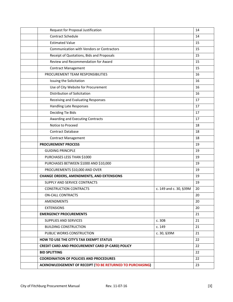| Request for Proposal Justification                        |                        | 14 |
|-----------------------------------------------------------|------------------------|----|
| <b>Contract Schedule</b>                                  |                        | 14 |
| <b>Estimated Value</b>                                    |                        | 15 |
| <b>Communication with Vendors or Contractors</b>          |                        | 15 |
| Receipt of Quotations, Bids and Proposals                 |                        | 15 |
| Review and Recommendation for Award                       |                        | 15 |
| <b>Contract Management</b>                                |                        | 15 |
| PROCUREMENT TEAM RESPONSIBILITIES                         |                        | 16 |
| Issuing the Solicitation                                  |                        | 16 |
| Use of City Website for Procurement                       |                        | 16 |
| Distribution of Solicitation                              |                        | 16 |
| Receiving and Evaluating Responses                        |                        | 17 |
| <b>Handling Late Responses</b>                            |                        | 17 |
| Deciding Tie Bids                                         |                        | 17 |
| Awarding and Executing Contracts                          |                        | 17 |
| Notice to Proceed                                         |                        | 18 |
| <b>Contract Database</b>                                  |                        | 18 |
| <b>Contract Management</b>                                |                        | 18 |
| <b>PROCUREMENT PROCESS</b>                                |                        | 19 |
| <b>GUIDING PRINCIPLE</b>                                  |                        | 19 |
| PURCHASES LESS THAN \$1000                                |                        | 19 |
| PURCHASES BETWEEN \$1000 AND \$10,000                     |                        | 19 |
| PROCUREMENTS \$10,000 AND OVER                            |                        | 19 |
| <b>CHANGE ORDERS, AMENDMENTS, AND EXTENSIONS</b>          |                        | 19 |
| SUPPLY AND SERVICE CONTRACTS                              |                        | 19 |
| <b>CONSTRUCTION CONTRACTS</b>                             | c. 149 and c. 30, §39M | 20 |
| <b>ON-CALL CONTRACTS</b>                                  |                        | 20 |
| <b>AMENDMENTS</b>                                         |                        | 20 |
| <b>EXTENSIONS</b>                                         |                        | 20 |
| <b>EMERGENCY PROCUREMENTS</b>                             |                        | 21 |
| SUPPLIES AND SERVICES                                     | c. 30B                 | 21 |
| <b>BUILDING CONSTRUCTION</b>                              | c. 149                 | 21 |
| PUBLIC WORKS CONSTRUCTION                                 | c. 30, §39M            | 21 |
| HOW TO USE THE CITY'S TAX EXEMPT STATUS                   |                        | 22 |
| CREDIT CARD AND PROCUREMENT CARD (P-CARD) POLICY          |                        | 22 |
| <b>BID SPLITTING</b>                                      |                        | 22 |
| <b>COORDINATION OF POLICIES AND PROCEDURES</b>            |                        | 22 |
| ACKNOWLEDGEMENT OF RECEIPT (TO BE RETURNED TO PURCHASING) |                        | 23 |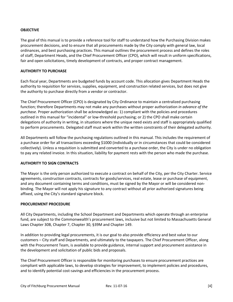### **OBJECTIVE**

The goal of this manual is to provide a reference tool for staff to understand how the Purchasing Division makes procurement decisions, and to ensure that all procurements made by the City comply with general law, local ordinances, and best purchasing practices. This manual outlines the procurement process and defines the roles of staff, Department Heads, and the Chief Procurement Officer (CPO), which will result in uniform specifications, fair and open solicitations, timely development of contracts, and proper contract management.

#### **AUTHORITY TO PURCHASE**

Each fiscal year, Departments are budgeted funds by account code. This allocation gives Department Heads the authority to requisition for services, supplies, equipment, and construction related services, but does not give the authority to purchase directly from a vendor or contractor.

The Chief Procurement Officer (CPO) is designated by City Ordinance to maintain a centralized purchasing function; therefore Departments may not make any purchases without proper authorization *in advance of the purchase.* Proper authorization shall be acknowledged as: 1) compliant with the policies and procedures outlined in this manual for "incidental" or low-threshold purchasing; or 2) the CPO shall make certain delegations of authority in writing, in situations where the unique need exists and staff is appropriately qualified to perform procurements. Delegated staff must work within the written constraints of their delegated authority.

All Departments will follow the purchasing regulations outlined in this manual. This includes the requirement of a purchase order for all transactions exceeding \$1000 (individually or in circumstances that could be considered collectively). Unless a requisition is submitted and converted to a purchase order, the City is under no obligation to pay any related invoice. In this situation, liability for payment rests with the person who made the purchase.

## **AUTHORITY TO SIGN CONTRACTS**

The Mayor is the only person authorized to execute a contract on behalf of the City, per the City Charter. Service agreements, construction contracts, contracts for goods/services, real estate, lease or purchase of equipment, and any document containing terms and conditions, must be signed by the Mayor or will be considered nonbinding. The Mayor will not apply his signature to any contract without all prior authorized signatures being affixed, using the City's standard signature block.

#### **PROCUREMENT PROCEDURE**

All City Departments, including the School Department and Departments which operate through an enterprise fund, are subject to the Commonwealth's procurement laws, inclusive but not limited to Massachusetts General Laws Chapter 30B, Chapter 7, Chapter 30, §39M and Chapter 149.

In addition to providing legal procurements, it is our goal to also provide efficiency and best value to our customers – City staff and Departments, and ultimately to the taxpayers. The Chief Procurement Officer, along with the Procurement Team, is available to provide guidance, internal support and procurement assistance in the development and solicitation of public bids and proposals.

The Chief Procurement Officer is responsible for monitoring purchases to ensure procurement practices are compliant with applicable laws, to develop strategies for improvement, to implement policies and procedures, and to identify potential cost-savings and efficiencies in the procurement process.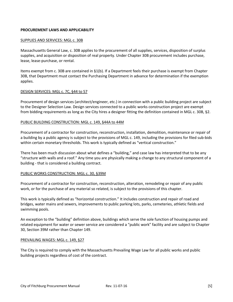#### **PROCUREMENT LAWS AND APPLICABILITY**

#### SUPPLIES AND SERVICES: MGL c. 30B

Massachusetts General Law, c. 30B applies to the procurement of all supplies, services, disposition of surplus supplies, and acquisition or disposition of real property. Under Chapter 30B procurement includes purchase, lease, lease-purchase, or rental.

Items exempt from c. 30B are contained in §1(b). If a Department feels their purchase is exempt from Chapter 30B, that Department must contact the Purchasing Department in advance for determination if the exemption applies.

#### DESIGN SERVICES: MGL c. 7C, §44 to 57

Procurement of design services (architect/engineer, etc.) in connection with a public building project are subject to the Designer Selection Law. Design services connected to a public works construction project are exempt from bidding requirements as long as the City hires a designer fitting the definition contained in MGL c. 30B, §2.

#### PUBLIC BUILDING CONSTRUCTION: MGL c. 149, §44A to 44M

Procurement of a contractor for construction, reconstruction, installation, demolition, maintenance or repair of a building by a public agency is subject to the provisions of MGL c. 149, including the provisions for filed sub-bids within certain monetary thresholds. This work is typically defined as "vertical construction."

There has been much discussion about what defines a "building," and case law has interpreted that to be any "structure with walls and a roof." Any time you are physically making a change to any structural component of a building - that is considered a building contract.

#### PUBLIC WORKS CONSTRUCTION: MGL c. 30, §39M

Procurement of a contractor for construction, reconstruction, alteration, remodeling or repair of any public work, or for the purchase of any material so related, is subject to the provisions of this chapter.

This work is typically defined as "horizontal construction." It includes construction and repair of road and bridges, water mains and sewers, improvements to public parking lots, parks, cemeteries, athletic fields and swimming pools.

An exception to the "building" definition above, buildings which serve the sole function of housing pumps and related equipment for water or sewer service are considered a "public work" facility and are subject to Chapter 30, Section 39M rather than Chapter 149.

#### PREVAILING WAGES: MGL c. 149, §27

The City is required to comply with the Massachusetts Prevailing Wage Law for all public works and public building projects regardless of cost of the contract.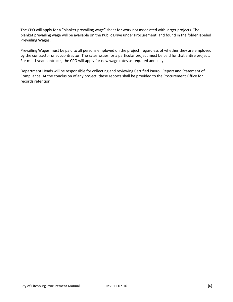The CPO will apply for a "blanket prevailing wage" sheet for work not associated with larger projects. The blanket prevailing wage will be available on the Public Drive under Procurement, and found in the folder labeled Prevailing Wages.

Prevailing Wages must be paid to all persons employed on the project, regardless of whether they are employed by the contractor or subcontractor. The rates issues for a particular project must be paid for that entire project. For multi-year contracts, the CPO will apply for new wage rates as required annually.

Department Heads will be responsible for collecting and reviewing Certified Payroll Report and Statement of Compliance. At the conclusion of any project, these reports shall be provided to the Procurement Office for records retention.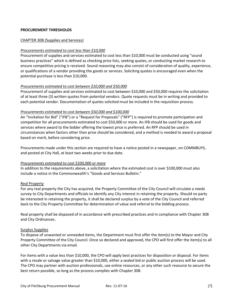#### **PROCUREMENT THRESHOLDS**

#### CHAPTER 30B (Supplies and Services)

#### *Procurements estimated to cost less than \$10,000*

Procurement of supplies and services estimated to cost less than \$10,000 must be conducted using "sound business practices" which is defined as checking price lists, seeking quotes, or conducting market research to ensure competitive pricing is received. Sound reasoning may also consist of consideration of quality, experience, or qualifications of a vendor providing the goods or services. Soliciting quotes is encouraged even when the potential purchase is less than \$10,000.

#### *Procurements estimated to cost between \$10,000 and \$50,000*

Procurement of supplies and services estimated to cost between \$10,000 and \$50,000 requires the solicitation of at least three (3) written quotes from potential vendors. Quote requests must be in writing and provided to each potential vendor. Documentation of quotes solicited must be included in the requisition process.

#### *Procurements estimated to cost between \$50,000 and \$100,000*

An "Invitation for Bid" ("IFB") or a "Request for Proposals" ("RFP") is required to promote participation and competition for all procurements estimated to cost \$50,000 or more. An IFB should be used for goods and services where award to the bidder offering the lowest price is preferred. An RFP should be used in circumstances when factors other than price should be considered, and a method is needed to award a proposal based on merit, before considering price.

Procurements made under this section are required to have a notice posted in a newspaper, on COMMBUYS, and posted at City Hall, at least two weeks prior to due date.

#### *Procurements estimated to cost \$100,000 or more*

In addition to the requirements above, a solicitation where the estimated cost is over \$100,000 must also include a notice in the Commonwealth's "Goods and Services Bulletin."

#### Real Property

For any real property the City has acquired, the Property Committee of the City Council will circulate a needs survey to City Departments and officials to identify any City interest in retaining the property. Should no party be interested in retaining the property, it shall be declared surplus by a vote of the City Council and referred back to the City Property Committee for determination of value and referral to the bidding process.

Real property shall be disposed of in accordance with prescribed practices and in compliance with Chapter 30B and City Ordinances.

#### Surplus Supplies

To dispose of unwanted or unneeded items, the Department must first offer the item(s) to the Mayor and City Property Committee of the City Council. Once so declared and approved, the CPO will first offer the item(s) to all other City Departments via email.

For items with a value less than \$10,000, the CPO will apply best practices for disposition or disposal. For items with a resale or salvage value greater than \$10,000, either a sealed bid or public auction process will be used. The CPO may partner with auction professionals, use online resources, or any other such resource to secure the best return possible, so long as the process complies with Chapter 30B.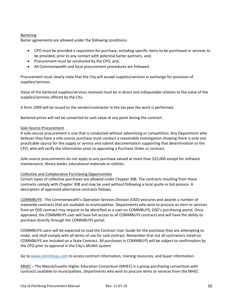# **Bartering**

Barter agreements are allowed under the following conditions:

- CPO must be provided a requisition for purchase, including specific items to be purchased or services to be provided, prior to any contact with potential barter partners, and;
- Procurement must be conducted by the CPO, and;
- All Commonwealth and local procurement procedures are followed.

Procurement must clearly state that the City will accept supplies/services in exchange for provision of supplies/services.

Value of the bartered supplies/services received must be in direct and indisputable relation to the value of the supplies/services offered by the City.

A form 1099 will be issued to the vendor/contractor in the tax year the work is performed.

Bartered prices will not be converted to cash value at any point during the contract.

#### Sole-Source Procurement

A sole-source procurement is one that is conducted without advertising or competition. Any Department who believes they have a sole-source purchase must conduct a reasonable investigation showing there is only one practicable source for the supply or service and submit documentation supporting that determination to the CPO, who will verify the information prior to approving a Purchase Order or contract.

Sole-source procurements do not apply to any purchase valued at more than \$25,000 except for software maintenance, library books, educational materials or utilities.

## Collective and Collaborative Purchasing Opportunities

Certain types of collective purchases are allowed under Chapter 30B. The contracts resulting from these contracts comply with Chapter 30B and may be used without following a local quote or bid process. A description of approved alternative contracts follows:

*COMMBUYS* - The Commonwealth's Operation Services Division (OSD) procures and awards a number of statewide contracts that are available to municipalities. Departments who wish to procure an item or services from an OSD contract may request to be identified as a user on COMMBUYS, OSD's purchasing portal. Once approved, the COMMBUYS user will have full access to all COMMBUYS contracts and will have the ability to purchase directly through the COMMBUYS portal.

COMMBUYS users will be expected to read the Contract User Guide for the purchase they are attempting to make, and shall comply with all terms of use for said contract. Remember that not all contractors listed on COMMBUYS are included on a State Contract. All purchases in COMMBUYS will be subject to confirmation by the CPO prior to approval in the City's MUNIS system.

Go to [www.commbuys.com](http://www.commbuys.com/) to access contract information, training resources, and buyer information.

*MHEC* – The Massachusetts Higher Education Consortium (MHEC) is a group purchasing consortium with contracts available to municipalities. Departments who wish to procure items or services from the MHEC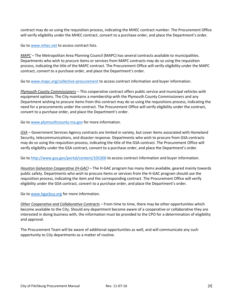contract may do so using the requisition process, indicating the MHEC contract number. The Procurement Office will verify eligibility under the MHEC contract, convert to a purchase order, and place the Department's order.

Go to [www.mhec.net](http://www.mhec.net/) to access contract lists.

*MAPC* – The Metropolitan Area Planning Council (MAPC) has several contracts available to municipalities. Departments who wish to procure items or services from MAPC contracts may do so using the requisition process, indicating the title of the MAPC contract. The Procurement Office will verify eligibility under the MAPC contract, convert to a purchase order, and place the Department's order.

Go to [www.mapc.org/collective-procurement](http://www.mapc.org/collective-procurement) to access contract information and buyer information.

*Plymouth County Commissioners* – This cooperative contract offers public service and municipal vehicles with equipment options. The City maintains a membership with the Plymouth County Commissioners and any Department wishing to procure items from this contract may do so using the requisitions process, indicating the need for a procurements under the contract. The Procurement Office will verify eligibility under the contract, convert to a purchase order, and place the Department's order.

Go to [www.plymouthcounty-ma.gov](http://www.plymouthcounty-ma.gov/) for more information.

*GSA* – Government Services Agency contracts are limited in variety, but cover items associated with Homeland Security, telecommunications, and disaster response. Departments who wish to procure from GSA contracts may do so using the requisition process, indicating the title of the GSA contract. The Procurement Office will verify eligibility under the GSA contract, convert to a purchase order, and place the Department's order.

Go to<http://www.gsa.gov/portal/content/105300> to access contract information and buyer information.

*Houston Galveston Cooperative (H-GAC) –* The H-GAC program has many items available, geared mainly towards public safety. Departments who wish to procure items or services from the H-GAC program should use the requisition process, indicating the item and the corresponding contract. The Procurement Office will verify eligibility under the GSA contract, convert to a purchase order, and place the Department's order.

Go to [www.hgacbuy.org](http://www.hgacbuy.org/) for more information.

*Other Cooperative and Collaborative Contracts –* From time to time, there may be other opportunities which become available to the City. Should any department become aware of a cooperative or collaborative they are interested in doing business with, the information must be provided to the CPO for a determination of eligibility and approval.

The Procurement Team will be aware of additional opportunities as well, and will communicate any such opportunity to City departments as a matter of routine.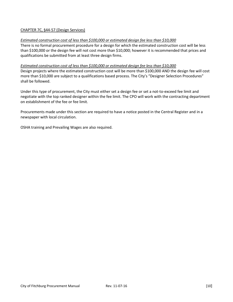# CHAPTER 7C, §44-57 (Design Services)

#### *Estimated construction cost of less than \$100,000 or estimated design fee less than \$10,000*

There is no formal procurement procedure for a design for which the estimated construction cost will be less than \$100,000 or the design fee will not cost more than \$10,000; however it is recommended that prices and qualifications be submitted from at least three design firms.

#### *Estimated construction cost of less than \$100,000 or estimated design fee less than \$10,000*

Design projects where the estimated construction cost will be more than \$100,000 AND the design fee will cost more than \$10,000 are subject to a qualifications based process. The City's "Designer Selection Procedures" shall be followed.

Under this type of procurement, the City must either set a design fee or set a not-to-exceed fee limit and negotiate with the top ranked designer within the fee limit. The CPO will work with the contracting department on establishment of the fee or fee limit.

Procurements made under this section are required to have a notice posted in the Central Register and in a newspaper with local circulation.

OSHA training and Prevailing Wages are also required.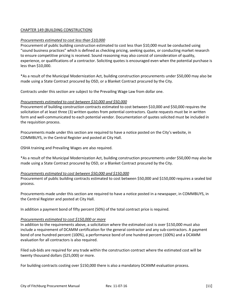# CHAPTER 149 (BUILDING CONSTRUCTION)

#### *Procurements estimated to cost less than \$10,000*

Procurement of public building construction estimated to cost less than \$10,000 must be conducted using "sound business practices" which is defined as checking pricing, seeking quotes, or conducting market research to ensure competitive pricing is received. Sound reasoning may also consist of consideration of quality, experience, or qualifications of a contractor. Soliciting quotes is encouraged even when the potential purchase is less than \$10,000.

\*As a result of the Municipal Modernization Act, building construction procurements under \$50,000 may also be made using a State Contract procured by OSD, or a Blanket Contract procured by the City.

Contracts under this section are subject to the Prevailing Wage Law from dollar one.

#### *Procurements estimated to cost between \$10,000 and \$50,000*

Procurement of building construction contracts estimated to cost between \$10,000 and \$50,000 requires the solicitation of at least three (3) written quotes from potential contractors. Quote requests must be in written form and well-communicated to each potential vendor. Documentation of quotes solicited must be included in the requisition process.

Procurements made under this section are required to have a notice posted on the City's website, in COMMBUYS, in the Central Register and posted at City Hall.

OSHA training and Prevailing Wages are also required.

\*As a result of the Municipal Modernization Act, building construction procurements under \$50,000 may also be made using a State Contract procured by OSD, or a Blanket Contract procured by the City.

#### *Procurements estimated to cost between \$50,000 and \$150,000*

Procurement of public building contracts estimated to cost between \$50,000 and \$150,000 requires a sealed bid process.

Procurements made under this section are required to have a notice posted in a newspaper, in COMMBUYS, in the Central Register and posted at City Hall.

In addition a payment bond of fifty percent (50%) of the total contract price is required.

#### *Procurements estimated to cost \$150,000 or more*

In addition to the requirements above, a solicitation where the estimated cost is over \$150,000 must also include a requirement of DCAMM certification for the general contractor and any sub-contractors. A payment bond of one hundred percent (100%), a performance bond of one hundred percent (100%) and a DCAMM evaluation for all contractors is also required.

Filed sub-bids are required for any trade within the construction contract where the estimated cost will be twenty thousand dollars (\$25,000) or more.

For building contracts costing over \$150,000 there is also a mandatory DCAMM evaluation process.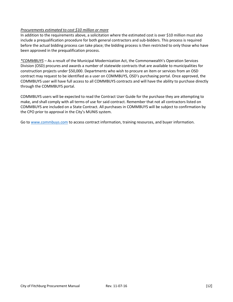## *Procurements estimated to cost \$10 million or more*

In addition to the requirements above, a solicitation where the estimated cost is over \$10 million must also include a prequalification procedure for both general contractors and sub-bidders. This process is required before the actual bidding process can take place; the bidding process is then restricted to only those who have been approved in the prequalification process.

*\*COMMBUYS* – As a result of the Municipal Modernization Act, the Commonwealth's Operation Services Division (OSD) procures and awards a number of statewide contracts that are available to municipalities for construction projects under \$50,000. Departments who wish to procure an item or services from an OSD contract may request to be identified as a user on COMMBUYS, OSD's purchasing portal. Once approved, the COMMBUYS user will have full access to all COMMBUYS contracts and will have the ability to purchase directly through the COMMBUYS portal.

COMMBUYS users will be expected to read the Contract User Guide for the purchase they are attempting to make, and shall comply with all terms of use for said contract. Remember that not all contractors listed on COMMBUYS are included on a State Contract. All purchases in COMMBUYS will be subject to confirmation by the CPO prior to approval in the City's MUNIS system.

Go to [www.commbuys.com](http://www.commbuys.com/) to access contract information, training resources, and buyer information.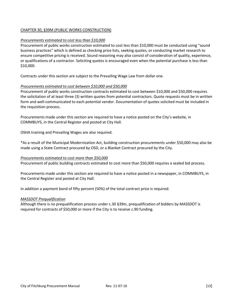# CHAPTER 30, §39M (PUBLIC WORKS CONSTRUCTION)

#### *Procurements estimated to cost less than \$10,000*

Procurement of public works construction estimated to cost less than \$10,000 must be conducted using "sound business practices" which is defined as checking price lists, seeking quotes, or conducting market research to ensure competitive pricing is received. Sound reasoning may also consist of consideration of quality, experience, or qualifications of a contractor. Soliciting quotes is encouraged even when the potential purchase is less than \$10,000.

Contracts under this section are subject to the Prevailing Wage Law from dollar one.

#### *Procurements estimated to cost between \$10,000 and \$50,000*

Procurement of public works construction contracts estimated to cost between \$10,000 and \$50,000 requires the solicitation of at least three (3) written quotes from potential contractors. Quote requests must be in written form and well-communicated to each potential vendor. Documentation of quotes solicited must be included in the requisition process.

Procurements made under this section are required to have a notice posted on the City's website, in COMMBUYS, in the Central Register and posted at City Hall.

OSHA training and Prevailing Wages are also required.

\*As a result of the Municipal Modernization Act, building construction procurements under \$50,000 may also be made using a State Contract procured by OSD, or a Blanket Contract procured by the City.

#### *Procurements estimated to cost more than \$50,000*

Procurement of public building contracts estimated to cost more than \$50,000 requires a sealed bid process.

Procurements made under this section are required to have a notice posted in a newspaper, in COMMBUYS, in the Central Register and posted at City Hall.

In addition a payment bond of fifty percent (50%) of the total contract price is required.

#### *MASSDOT Prequalification*

Although there is no prequalification process under c.30 §39m, prequalification of bidders by MASSDOT is required for contracts of \$50,000 or more if the City is to receive c.90 funding.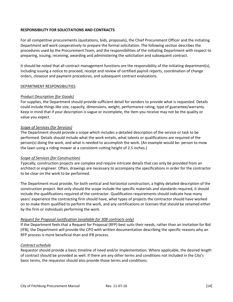# **RESPONSIBILITY FOR SOLICITATIONS AND CONTRACTS**

For all competitive procurements (quotations, bids, proposals), the Chief Procurement Officer and the initiating Department will work cooperatively to prepare the formal solicitation. The following section describes the procedures used by the Procurement Team, and the responsibilities of the initiating Department with respect to preparing, issuing, receiving, awarding and administering the solicitation and subsequent contract.

It should be noted that all contract management functions are the responsibility of the initiating department(s), including issuing a notice to proceed, receipt and review of certified payroll reports, coordination of change orders, closeout and payment procedures, and subsequent contract evaluations.

## DEPARTMENT RESPONSIBILITIES

#### *Product Description (for Goods)*

For supplies, the Department should provide sufficient detail for vendors to provide what is requested. Details could include things like size, capacity, dimensions, weight, performance rating, type of guarantee/warranty. Keep in mind that if your description is vague or incomplete, the item you receive may not be the quality or value you expect.

#### *Scope of Services (for Services)*

The Department should provide a scope which includes a detailed description of the service or task to be performed. Details should include what the work entails, what talents or qualifications are required of the person(s) doing the work, and what is needed to accomplish the work. (An example would be: person to mow the lawn using a riding mower at a consistent cutting height of 2.5 inches.)

#### *Scope of Services (for Construction)*

Typically, construction projects are complex and require intricate details that can only be provided from an architect or engineer. Often, drawings are necessary to accompany the specifications in order for the contractor to be clear on the work to be performed.

The Department must provide, for both vertical and horizontal construction, a highly detailed description of the construction project. Not only should the scope include the specific materials and standards required, it should include the qualifications required of the contractor. Qualification requirements should indicate how many years' experience the contracting firm should have, what types of projects the contractor should have worked on to make them qualified to perform the work, and any certifications or licenses that should be retained either by the firm or individuals performing the work.

## *Request for Proposal Justification (available for 30B contracts only)*

If the Department feels that a Request for Proposal (RFP) best suits their needs, rather than an Invitation for Bid (IFB), the Department will provide the CPO with written documentation describing the specific reasons why an RFP process is more beneficial than and IFB process.

## *Contract schedule*

Requestor should provide a basic timeline of need and/or implementation. Where applicable, the desired length of contract should be provided as well. If there are any other terms and conditions not included in the City's basic terms, the requestor should also provide those terms and conditions.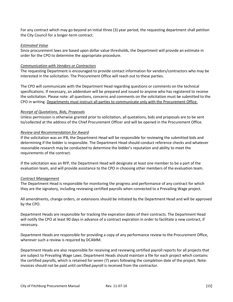For any contract which may go beyond an initial three (3) year period, the requesting department shall petition the City Council for a longer-term contract.

#### *Estimated Value*

Since procurement laws are based upon dollar value thresholds, the Department will provide an estimate in order for the CPO to determine the appropriate procedure.

#### *Communication with Vendors or Contractors*

The requesting Department is encouraged to provide contact information for vendors/contractors who may be interested in the solicitation. The Procurement Office will reach out to these parties.

The CPO will communicate with the Department Head regarding questions or comments on the technical specifications. If necessary, an addendum will be prepared and issued to anyone who has registered to receive the solicitation. Please note: all questions, concerns and comments on the solicitation must be submitted to the CPO in writing. Departments must instruct all parties to communicate only with the Procurement Office.

#### *Receipt of Quotations, Bids, Proposals*

Unless permission is otherwise granted prior to solicitation, all quotations, bids and proposals are to be sent to/collected at the address of the Chief Procurement Officer and will be opened in the Procurement Office.

#### *Review and Recommendation for Award*

If the solicitation was an IFB, the Department Head will be responsible for reviewing the submitted bids and determining if the bidder is responsible. The Department Head should conduct reference checks and whatever reasonable research may be conducted to determine the bidder's reputation and ability to meet the requirements of the contract.

If the solicitation was an RFP, the Department Head will designate at least one member to be a part of the evaluation team, and will provide assistance to the CPO in choosing other members of the evaluation team.

## *Contract Management*

The Department Head is responsible for monitoring the progress and performance of any contract for which they are the signatory, including reviewing certified payrolls when connected to a Prevailing Wage project.

All amendments, change orders, or extensions should be initiated by the Department Head and will be approved by the CPO.

Department Heads are responsible for tracking the expiration dates of their contracts. The Department Head will notify the CPO at least 90 days in advance of a contract expiration in order to facilitate a new contract, if necessary.

Department Heads are responsible for providing a copy of any performance review to the Procurement Office, wherever such a review is required by DCAMM.

Department Heads are also responsible for receiving and reviewing certified payroll reports for all projects that are subject to Prevailing Wage Laws. Department Heads should maintain a file for each project which contains the certified payrolls, which is retained for seven (7) years following the completion date of the project. Note: invoices should not be paid until certified payroll is received from the contractor.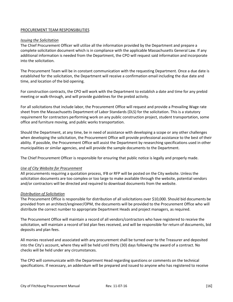## PROCUREMENT TEAM RESPONSIBILITIES

#### *Issuing the Solicitation*

The Chief Procurement Officer will utilize all the information provided by the Department and prepare a complete solicitation document which is in compliance with the applicable Massachusetts General Law. If any additional information is needed from the Department, the CPO will request said information and incorporate into the solicitation.

The Procurement Team will be in constant communication with the requesting Department. Once a due date is established for the solicitation, the Department will receive a confirmation email including the due date and time, and location of the bid opening.

For construction contracts, the CPO will work with the Department to establish a date and time for any prebid meeting or walk-through, and will provide guidelines for the prebid activity.

For all solicitations that include labor, the Procurement Office will request and provide a Prevailing Wage rate sheet from the Massachusetts Department of Labor Standards (DLS) for the solicitation. This is a statutory requirement for contractors performing work on any public construction project, student transportation, some office and furniture moving, and public works transportation.

Should the Department, at any time, be in need of assistance with developing a scope or any other challenges when developing the solicitation, the Procurement Office will provide professional assistance to the best of their ability. If possible, the Procurement Office will assist the Department by researching specifications used in other municipalities or similar agencies, and will provide the sample documents to the Department.

The Chief Procurement Officer is responsible for ensuring that public notice is legally and properly made.

#### *Use of City Website for Procurement*

All procurements requiring a quotation process, IFB or RFP will be posted on the City website. Unless the solicitation documents are too complex or too large to make available through the website, potential vendors and/or contractors will be directed and required to download documents from the website.

#### *Distribution of Solicitation*

The Procurement Office is responsible for distribution of all solicitations over \$10,000. Should bid documents be provided from an architect/engineer/OPM, the documents will be provided to the Procurement Office who will distribute the correct number to appropriate Department Heads and project managers, as required.

The Procurement Office will maintain a record of all vendors/contractors who have registered to receive the solicitation, will maintain a record of bid plan fees received, and will be responsible for return of documents, bid deposits and plan fees.

All monies received and associated with any procurement shall be turned over to the Treasurer and deposited into the City's account, where they will be held until thirty (30) days following the award of a contract. No checks will be held under any circumstances.

The CPO will communicate with the Department Head regarding questions or comments on the technical specifications. If necessary, an addendum will be prepared and issued to anyone who has registered to receive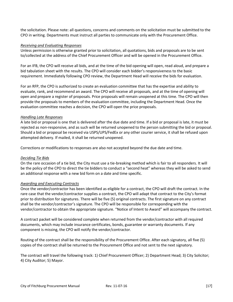the solicitation. Please note: all questions, concerns and comments on the solicitation must be submitted to the CPO in writing. Departments must instruct all parties to communicate only with the Procurement Office.

#### *Receiving and Evaluating Responses*

Unless permission is otherwise granted prior to solicitation, all quotations, bids and proposals are to be sent to/collected at the address of the Chief Procurement Officer and will be opened in the Procurement Office.

For an IFB, the CPO will receive all bids, and at the time of the bid opening will open, read aloud, and prepare a bid tabulation sheet with the results. The CPO will consider each bidder's responsiveness to the basic requirement. Immediately following CPO review, the Department Head will receive the bids for evaluation.

For an RFP, the CPO is authorized to create an evaluation committee that has the expertise and ability to evaluate, rank, and recommend an award. The CPO will receive all proposals, and at the time of opening will open and prepare a register of proposals. Price proposals will remain unopened at this time. The CPO will then provide the proposals to members of the evaluation committee, including the Department Head. Once the evaluation committee reaches a decision, the CPO will open the price proposals.

#### *Handling Late Responses*

A late bid or proposal is one that is delivered after the due date and time. If a bid or proposal is late, it must be rejected as non-responsive, and as such will be returned unopened to the person submitting the bid or proposal. Should a bid or proposal be received via USPS/UPS/FedEx or any other courier service, it shall be refused upon attempted delivery. If mailed, it shall be returned unopened.

Corrections or modifications to responses are also not accepted beyond the due date and time.

## *Deciding Tie Bids*

On the rare occasion of a tie bid, the City must use a tie-breaking method which is fair to all responders. It will be the policy of the CPO to direct the tie bidders to conduct a "second heat" whereas they will be asked to send an additional response with a new bid form on a date and time specific.

## *Awarding and Executing Contracts*

Once the vendor/contractor has been identified as eligible for a contract, the CPO will draft the contract. In the rare case that the vendor/contractor supplies a contract, the CPO will adapt that contract to the City's format prior to distribution for signatures. There will be five (5) original contracts. The first signature on any contract shall be the vendor/contractor's signature. The CPO will be responsible for corresponding with the vendor/contractor to obtain the appropriate signature. "Notice of Intent to Award" will accompany the contract.

A contract packet will be considered complete when returned from the vendor/contractor with all required documents, which may include insurance certificates, bonds, guarantee or warranty documents. If any component is missing, the CPO will notify the vendor/contractor.

Routing of the contract shall be the responsibility of the Procurement Office. After each signatory, all five (5) copies of the contract shall be returned to the Procurement Office and not sent to the next signatory.

The contract will travel the following track: 1) Chief Procurement Officer; 2) Department Head; 3) City Solicitor; 4) City Auditor; 5) Mayor.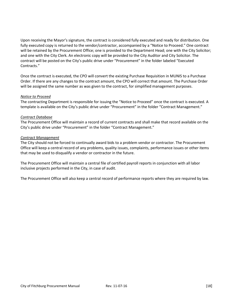Upon receiving the Mayor's signature, the contract is considered fully executed and ready for distribution. One fully executed copy is returned to the vendor/contractor, accompanied by a "Notice to Proceed." One contract will be retained by the Procurement Office; one is provided to the Department Head; one with the City Solicitor; and one with the City Clerk. An electronic copy will be provided to the City Auditor and City Solicitor. The contract will be posted on the City's public drive under "Procurement" in the folder labeled "Executed Contracts."

Once the contract is executed, the CPO will convert the existing Purchase Requisition in MUNIS to a Purchase Order. If there are any changes to the contract amount, the CPO will correct that amount. The Purchase Order will be assigned the same number as was given to the contract, for simplified management purposes.

#### *Notice to Proceed*

The contracting Department is responsible for issuing the "Notice to Proceed" once the contract is executed. A template is available on the City's public drive under "Procurement" in the folder "Contract Management."

### *Contract Database*

The Procurement Office will maintain a record of current contracts and shall make that record available on the City's public drive under "Procurement" in the folder "Contract Management."

#### *Contract Management*

The City should not be forced to continually award bids to a problem vendor or contractor. The Procurement Office will keep a central record of any problems, quality issues, complaints, performance issues or other items that may be used to disqualify a vendor or contractor in the future.

The Procurement Office will maintain a central file of certified payroll reports in conjunction with all labor inclusive projects performed in the City, in case of audit.

The Procurement Office will also keep a central record of performance reports where they are required by law.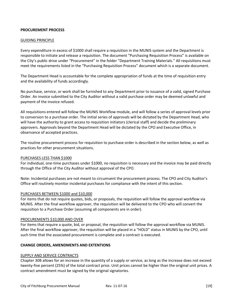### **PROCUREMENT PROCESS**

#### GUIDING PRINCIPLE

Every expenditure in excess of \$1000 shall require a requisition in the MUNIS system and the Department is responsible to initiate and release a requisition. The document "Purchasing Requisition Process" is available on the City's public drive under "Procurement" in the folder "Department Training Materials." All requisitions must meet the requirements listed in the "Purchasing Requisition Process" document which is a separate document.

The Department Head is accountable for the complete appropriation of funds at the time of requisition entry and the availability of funds accordingly.

No purchase, service, or work shall be furnished to any Department prior to issuance of a valid, signed Purchase Order. An invoice submitted to the City Auditor without a valid purchase order may be deemed unlawful and payment of the invoice refused.

All requisitions entered will follow the MUNIS Workflow module, and will follow a series of approval levels prior to conversion to a purchase order. The initial series of approvals will be dictated by the Department Head, who will have the authority to grant access to requisition initiators (clerical staff) and decide the preliminary approvers. Approvals beyond the Department Head will be dictated by the CPO and Executive Office, in observance of accepted practices.

The routine procurement process for requisition to purchase order is described in the section below, as well as practices for other procurement situations.

#### PURCHASES LESS THAN \$1000

For individual, one-time purchases under \$1000, no requisition is necessary and the invoice may be paid directly through the Office of the City Auditor without approval of the CPO.

Note: Incidental purchases are not meant to circumvent the procurement process. The CPO and City Auditor's Office will routinely monitor incidental purchases for compliance with the intent of this section.

#### PURCHASES BETWEEN \$1000 and \$10,000

For items that do not require quotes, bids, or proposals, the requisition will follow the approval workflow via MUNIS. After the final workflow approver, the requisition will be delivered to the CPO who will convert the requisition to a Purchase Order (assuming all components are in order).

#### PROCUREMENTS \$10,000 AND OVER

For items that require a quote, bid, or proposal, the requisition will follow the approval workflow via MUNIS. After the final workflow approver, the requisition will be placed in a "HOLD" status in MUNIS by the CPO, until such time that the associated procurement is complete and a contract is executed.

# **CHANGE ORDERS, AMENDMENTS AND EXTENTIONS**

#### SUPPLY AND SERVICE CONTRACTS

Chapter 30B allows for an increase in the quantity of a supply or service, as long as the increase does not exceed twenty-five percent (25%) of the total contract price. Unit prices cannot be higher than the original unit prices. A contract amendment must be signed by the original signatories.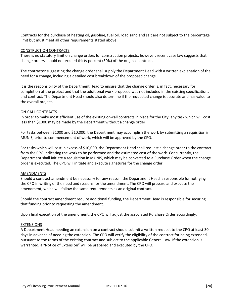Contracts for the purchase of heating oil, gasoline, fuel oil, road sand and salt are not subject to the percentage limit but must meet all other requirements stated above.

#### CONSTRUCTION CONTRACTS

There is no statutory limit on change orders for construction projects; however, recent case law suggests that change orders should not exceed thirty percent (30%) of the original contract.

The contractor suggesting the change order shall supply the Department Head with a written explanation of the need for a change, including a detailed cost breakdown of the proposed change.

It is the responsibility of the Department Head to ensure that the change order is, in fact, necessary for completion of the project and that the additional work proposed was not included in the existing specifications and contract. The Department Head should also determine if the requested change is accurate and has value to the overall project.

#### ON-CALL CONTRACTS

In order to make most efficient use of the existing on-call contracts in place for the City, any task which will cost less than \$1000 may be made by the Department without a change order.

For tasks between \$1000 and \$10,000, the Department may accomplish the work by submitting a requisition in MUNIS, prior to commencement of work, which will be approved by the CPO.

For tasks which will cost in excess of \$10,000, the Department Head shall request a change order to the contract from the CPO indicating the work to be performed and the estimated cost of the work. Concurrently, the Department shall initiate a requisition in MUNIS, which may be converted to a Purchase Order when the change order is executed. The CPO will initiate and execute signatures for the change order.

#### AMENDMENTS

Should a contract amendment be necessary for any reason, the Department Head is responsible for notifying the CPO in writing of the need and reasons for the amendment. The CPO will prepare and execute the amendment, which will follow the same requirements as an original contract.

Should the contract amendment require additional funding, the Department Head is responsible for securing that funding prior to requesting the amendment.

Upon final execution of the amendment, the CPO will adjust the associated Purchase Order accordingly.

#### EXTENSIONS

A Department Head needing an extension on a contract should submit a written request to the CPO at least 30 days in advance of needing the extension. The CPO will verify the eligibility of the contract for being extended, pursuant to the terms of the existing contract and subject to the applicable General Law. If the extension is warranted, a "Notice of Extension" will be prepared and executed by the CPO.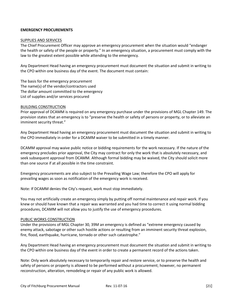#### **EMERGENCY PROCUREMENTS**

#### SUPPLIES AND SERVICES

The Chief Procurement Officer may approve an emergency procurement when the situation would "endanger the health or safety of the people or property." In an emergency situation, a procurement must comply with the law to the greatest extent possible while attending to the emergency.

Any Department Head having an emergency procurement must document the situation and submit in writing to the CPO within one business day of the event. The document must contain:

The basis for the emergency procurement The name(s) of the vendor/contractors used The dollar amount committed to the emergency List of supplies and/or services procured

#### BUILDING CONSTRUCTION

Prior approval of DCAMM is required on any emergency purchase under the provisions of MGL Chapter 149. The provision states that an emergency is to "preserve the health or safety of persons or property, or to alleviate an imminent security threat."

Any Department Head having an emergency procurement must document the situation and submit in writing to the CPO immediately in order for a DCAMM waiver to be submitted in a timely manner.

DCAMM approval may waive public notice or bidding requirements for the work necessary. If the nature of the emergency precludes prior approval, the City may contract for only the work that is absolutely necessary, and seek subsequent approval from DCAMM. Although formal bidding may be waived, the City should solicit more than one source if at all possible in the time constraint.

Emergency procurements are also subject to the Prevailing Wage Law; therefore the CPO will apply for prevailing wages as soon as notification of the emergency work is received.

Note: If DCAMM denies the City's request, work must stop immediately.

You may not artificially create an emergency simply by putting off normal maintenance and repair work. If you knew or should have known that a repair was warranted and you had time to correct it using normal bidding procedures, DCAMM will not allow you to justify the use of emergency procedures.

#### PUBLIC WORKS CONSTRUCTION

Under the provisions of MGL Chapter 30, 39M an emergency is defined as "extreme emergency caused by enemy attack, sabotage or other such hostile actions or resulting from an imminent security threat explosion, fire, flood, earthquake, hurricane, tornado or other such catastrophe."

Any Department Head having an emergency procurement must document the situation and submit in writing to the CPO within one business day of the event in order to create a permanent record of the actions taken.

Note: Only work absolutely necessary to temporarily repair and restore service, or to preserve the health and safety of persons or property is allowed to be performed without a procurement; however, no permanent reconstruction, alteration, remodeling or repair of any public work is allowed.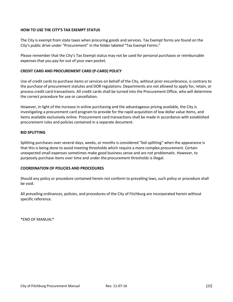#### **HOW TO USE THE CITY'S TAX EXEMPT STATUS**

The City is exempt from state taxes when procuring goods and services. Tax Exempt forms are found on the City's public drive under "Procurement" in the folder labeled "Tax Exempt Forms."

Please remember that the City's Tax Exempt status may not be used for personal purchases or reimbursable expenses that you pay for out of your own pocket.

#### **CREDIT CARD AND PROCUREMENT CARD (P-CARD) POLICY**

Use of credit cards to purchase items or services on behalf of the City, without prior encumbrance, is contrary to the purchase of procurement statutes and DOR regulations. Departments are not allowed to apply for, retain, or process credit card transactions. All credit cards shall be turned into the Procurement Office, who will determine the correct procedure for use or cancellation.

However, in light of the increase in online purchasing and the advantageous pricing available, the City is investigating a procurement card program to provide for the rapid acquisition of low dollar value items, and items available exclusively online. Procurement card transactions shall be made in accordance with established procurement rules and policies contained in a separate document.

#### **BID SPLITTING**

Splitting purchases over several days, weeks, or months is considered "bid-splitting" when the appearance is that this is being done to avoid meeting thresholds which require a more complex procurement. Certain unexpected small expenses sometimes make good business sense and are not problematic. However, to purposely purchase items over time and under the procurement thresholds is illegal.

#### **COORDINATION OF POLICIES AND PROCEDURES**

Should any policy or procedure contained herein not conform to prevailing laws, such policy or procedure shall be void.

All prevailing ordinances, policies, and procedures of the City of Fitchburg are incorporated herein without specific reference.

\*END OF MANUAL\*